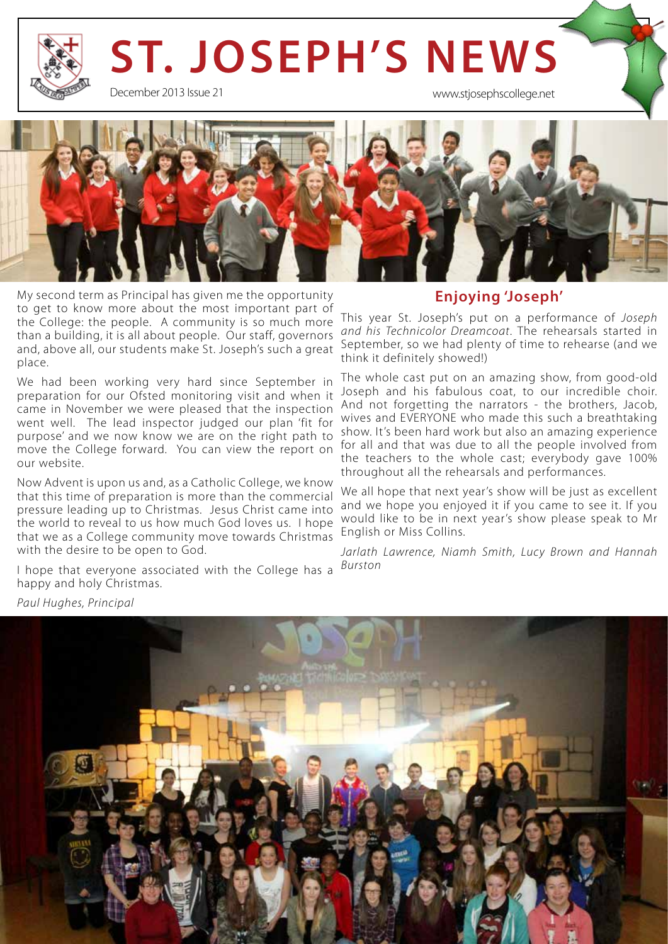# **ST. JOSEPH'S NEWS**

December 2013 Issue 21

www.stjosephscollege.net



My second term as Principal has given me the opportunity to get to know more about the most important part of the College: the people. A community is so much more than a building, it is all about people. Our staff, governors and, above all, our students make St. Joseph's such a great place.

We had been working very hard since September in preparation for our Ofsted monitoring visit and when it came in November we were pleased that the inspection went well. The lead inspector judged our plan 'fit for purpose' and we now know we are on the right path to move the College forward. You can view the report on our website.

Now Advent is upon us and, as a Catholic College, we know that this time of preparation is more than the commercial pressure leading up to Christmas. Jesus Christ came into the world to reveal to us how much God loves us. I hope that we as a College community move towards Christmas with the desire to be open to God.

I hope that everyone associated with the College has a happy and holy Christmas.

#### **Enjoying 'Joseph'**

This year St. Joseph's put on a performance of *Joseph and his Technicolor Dreamcoat*. The rehearsals started in September, so we had plenty of time to rehearse (and we think it definitely showed!)

The whole cast put on an amazing show, from good-old Joseph and his fabulous coat, to our incredible choir. And not forgetting the narrators - the brothers, Jacob, wives and EVERYONE who made this such a breathtaking show. It's been hard work but also an amazing experience for all and that was due to all the people involved from the teachers to the whole cast; everybody gave 100% throughout all the rehearsals and performances.

We all hope that next year's show will be just as excellent and we hope you enjoyed it if you came to see it. If you would like to be in next year's show please speak to Mr English or Miss Collins.

*Jarlath Lawrence, Niamh Smith, Lucy Brown and Hannah Burston*



*Paul Hughes, Principal*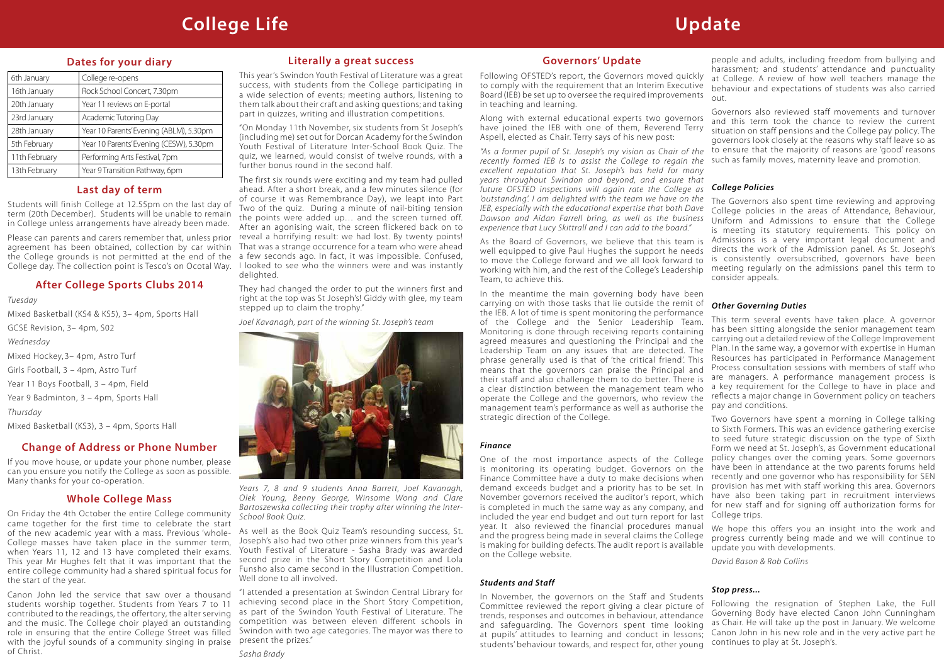#### **Change of Address or Phone Number**

If you move house, or update your phone number, please can you ensure you notify the College as soon as possible. Many thanks for your co-operation.

people and adults, including freedom from bullying and harassment; and students' attendance and punctuality at College. A review of how well teachers manage the behaviour and expectations of students was also carried out.

#### *College Policies*

to Sixth Formers. This was an evidence gathering exercise to seed future strategic discussion on the type of Sixth Form we need at St. Joseph's, as Government educational policy changes over the coming years. Some governors

*David Bason & Rob Collins*

#### *Stop press...*

### **Last day of term**

Students will finish College at 12.55pm on the last day of term (20th December). Students will be unable to remain in College unless arrangements have already been made.

Please can parents and carers remember that, unless prior agreement has been obtained, collection by car within the College grounds is not permitted at the end of the College day. The collection point is Tesco's on Ocotal Way.

### **Whole College Mass**

On Friday the 4th October the entire College community came together for the first time to celebrate the start of the new academic year with a mass. Previous 'whole-College masses have taken place in the summer term, when Years 11, 12 and 13 have completed their exams. This year Mr Hughes felt that it was important that the entire college community had a shared spiritual focus for the start of the year.

Canon John led the service that saw over a thousand students worship together. Students from Years 7 to 11 contributed to the readings, the offertory, the alter serving and the music. The College choir played an outstanding role in ensuring that the entire College Street was filled with the joyful sounds of a community singing in praise of Christ.

Governors also reviewed staff movements and turnover and this term took the chance to review the current situation on staff pensions and the College pay policy. The governors look closely at the reasons why staff leave so as to ensure that the majority of reasons are 'good' reasons such as family moves, maternity leave and promotion. Along with external educational experts two governors have joined the IEB with one of them, Reverend Terry Aspell, elected as Chair. Terry says of his new post:

#### **Dates for your diary**

'outstanding'. I am delighted with the team we have on the The Governors also spent time reviewing and approving IEB, especially with the educational expertise that both Dave College policies in the areas of Attendance, Behaviour, Dawson and Aidan Farrell bring, as well as the business Uniform and Admissions to ensure that the College is meeting its statutory requirements. This policy on Admissions is a very important legal document and directs the work of the Admission panel. As St. Joseph's is consistently oversubscribed, governors have been meeting regularly on the admissions panel this term to consider appeals. As the Board of Governors, we believe that this team is well equipped to give Paul Hughes the support he needs to move the College forward and we all look forward to working with him, and the rest of the College's Leadership Team, to achieve this.

| 6th January   | College re-opens                        |
|---------------|-----------------------------------------|
| 16th January  | Rock School Concert, 7.30pm             |
| 20th January  | Year 11 reviews on E-portal             |
| 23rd January  | Academic Tutoring Day                   |
| 28th January  | Year 10 Parents' Evening (ABLM), 5.30pm |
| 5th February  | Year 10 Parents' Evening (CESW), 5.30pm |
| 11th February | Performing Arts Festival, 7pm           |
| 13th February | Year 9 Transition Pathway, 6pm          |

### **After College Sports Clubs 2014**

*Tuesday*

Mixed Basketball (KS4 & KS5), 3– 4pm, Sports Hall GCSE Revision, 3– 4pm, S02 *Wednesday* Mixed Hockey, 3– 4pm, Astro Turf Girls Football, 3 – 4pm, Astro Turf Year 11 Boys Football, 3 – 4pm, Field Year 9 Badminton, 3 – 4pm, Sports Hall *Thursday* Mixed Basketball (KS3), 3 – 4pm, Sports Hall

#### **Literally a great success**

This year's Swindon Youth Festival of Literature was a great success, with students from the College participating in a wide selection of events; meeting authors, listening to them talk about their craft and asking questions; and taking part in quizzes, writing and illustration competitions.

> *Other Governing Duties*  This term several events have taken place. A governor has been sitting alongside the senior management team carrying out a detailed review of the College Improvement Plan. In the same way, a governor with expertise in Human Resources has participated in Performance Management Process consultation sessions with members of staff who are managers. A performance management process is a key requirement for the College to have in place and reflects a major change in Government policy on teachers pay and conditions. Two Governors have spent a morning in College talking In the meantime the main governing body have been carrying on with those tasks that lie outside the remit of the IEB. A lot of time is spent monitoring the performance of the College and the Senior Leadership Team. Monitoring is done through receiving reports containing agreed measures and questioning the Principal and the Leadership Team on any issues that are detected. The phrase generally used is that of 'the critical friend'. This means that the governors can praise the Principal and their staff and also challenge them to do better. There is a clear distinction between the management team who operate the College and the governors, who review the management team's performance as well as authorise the strategic direction of the College.

"On Monday 11th November, six students from St Joseph's (including me) set out for Dorcan Academy for the Swindon Youth Festival of Literature Inter-School Book Quiz. The quiz, we learned, would consist of twelve rounds, with a further bonus round in the second half.

The first six rounds were exciting and my team had pulled ahead. After a short break, and a few minutes silence (for of course it was Remembrance Day), we leapt into Part Two of the quiz. During a minute of nail-biting tension the points were added up… and the screen turned off. After an agonising wait, the screen flickered back on to reveal a horrifying result: we had lost. By twenty points! That was a strange occurrence for a team who were ahead a few seconds ago. In fact, it was impossible. Confused, I looked to see who the winners were and was instantly delighted.

> have been in attendance at the two parents forums held recently and one governor who has responsibility for SEN provision has met with staff working this area. Governors have also been taking part in recruitment interviews for new staff and for signing off authorization forms for College trips. We hope this offers you an insight into the work and progress currently being made and we will continue to update you with developments. One of the most importance aspects of the College is monitoring its operating budget. Governors on the Finance Committee have a duty to make decisions when demand exceeds budget and a priority has to be set. In November governors received the auditor's report, which is completed in much the same way as any company, and included the year end budget and out turn report for last year. It also reviewed the financial procedures manual and the progress being made in several claims the College is making for building defects. The audit report is available on the College website.

They had changed the order to put the winners first and right at the top was St Joseph's! Giddy with glee, my team stepped up to claim the trophy."

*Joel Kavanagh, part of the winning St. Joseph's team* 



Following the resignation of Stephen Lake, the Full Governing Body have elected Canon John Cunningham as Chair. He will take up the post in January. We welcome Canon John in his new role and in the very active part he continues to play at St. Joseph's. In November, the governors on the Staff and Students Committee reviewed the report giving a clear picture of trends, responses and outcomes in behaviour, attendance and safeguarding. The Governors spent time looking at pupils' attitudes to learning and conduct in lessons; students' behaviour towards, and respect for, other young

*Years 7, 8 and 9 students Anna Barrett, Joel Kavanagh, Olek Young, Benny George, Winsome Wong and Clare Bartoszewska collecting their trophy after winning the Inter-School Book Quiz.*

As well as the Book Quiz Team's resounding success, St. Joseph's also had two other prize winners from this year's Youth Festival of Literature - Sasha Brady was awarded second prize in the Short Story Competition and Lola Funsho also came second in the Illustration Competition. Well done to all involved.

"I attended a presentation at Swindon Central Library for achieving second place in the Short Story Competition, as part of the Swindon Youth Festival of Literature. The competition was between eleven different schools in Swindon with two age categories. The mayor was there to present the prizes."

#### **Governors' Update**

Following OFSTED's report, the Governors moved quickly to comply with the requirement that an Interim Executive Board (IEB) be set up to oversee the required improvements in teaching and learning.

*"As a former pupil of St. Joseph's my vision as Chair of the recently formed IEB is to assist the College to regain the excellent reputation that St. Joseph's has held for many years throughout Swindon and beyond, and ensure that future OFSTED inspections will again rate the College as experience that Lucy Skittrall and I can add to the board."*

#### *Finance*

#### *Students and Staff*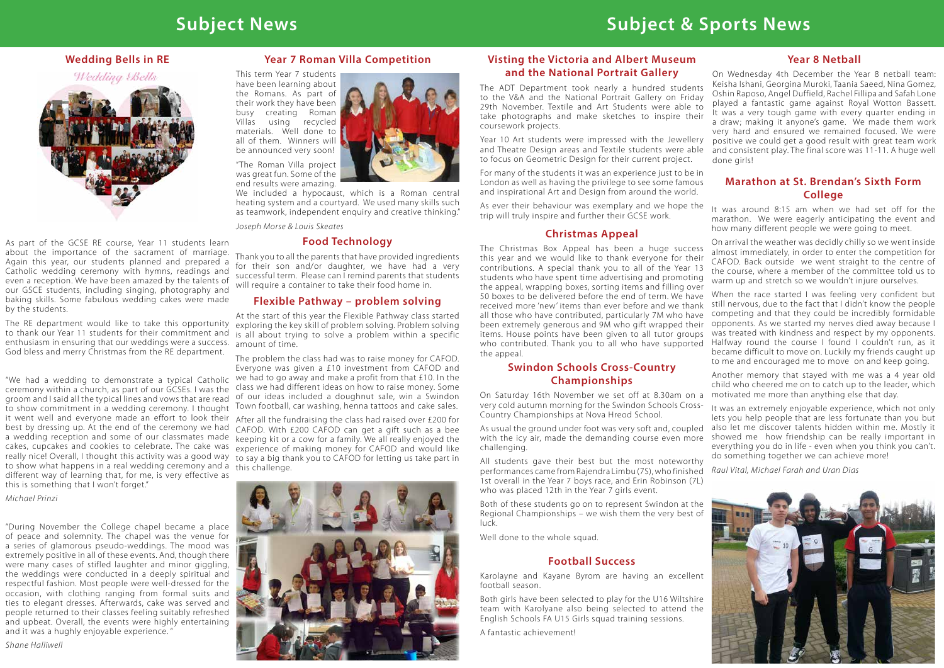#### **Wedding Bells in RE**





As part of the GCSE RE course, Year 11 students learn about the importance of the sacrament of marriage. Again this year, our students planned and prepared a Catholic wedding ceremony with hymns, readings and even a reception. We have been amazed by the talents of our GSCE students, including singing, photography and baking skills. Some fabulous wedding cakes were made by the students.

enthusiasm in ensuring that our weddings were a success. God bless and merry Christmas from the RE department.

ceremony within a church, as part of our GCSEs. I was the class we had different ideas on how to raise money. Some groom and I said all the typical lines and vows that are read of our ideas included a doughnut sale, win a Swindon to show commitment in a wedding ceremony. I thought Town football, car washing, henna tattoos and cake sales. it went well and everyone made an effort to look their best by dressing up. At the end of the ceremony we had a wedding reception and some of our classmates made keeping kit or a cow for a family. We all really enjoyed the cakes, cupcakes and cookies to celebrate. The cake was experience of making money for CAFOD and would like really nice! Overall, I thought this activity was a good way to say a big thank you to CAFOD for letting us take part in to show what happens in a real wedding ceremony and a this challenge. different way of learning that, for me, is very effective as this is something that I won't forget."

On Wednesday 4th December the Year 8 netball team: Keisha Ishani, Georgina Muroki, Taania Saeed, Nina Gomez, Oshin Raposo, Angel Duffield, Rachel Fillipa and Safah Lone played a fantastic game against Royal Wotton Bassett. It was a very tough game with every quarter ending in a draw; making it anyone's game. We made them work very hard and ensured we remained focused. We were positive we could get a good result with great team work and consistent play. The final score was 11-11. A huge well done girls!

*Michael Prinzi*

All students gave their best but the most noteworthy performances came from Rajendra Limbu (7S), who finished *Raul Vital, Michael Farah and Uran Dias*  1st overall in the Year 7 boys race, and Erin Robinson (7L) who was placed 12th in the Year 7 girls event.

"During November the College chapel became a place of peace and solemnity. The chapel was the venue for a series of glamorous pseudo-weddings. The mood was extremely positive in all of these events. And, though there were many cases of stifled laughter and minor giggling, the weddings were conducted in a deeply spiritual and respectful fashion. Most people were well-dressed for the occasion, with clothing ranging from formal suits and ties to elegant dresses. Afterwards, cake was served and people returned to their classes feeling suitably refreshed and upbeat. Overall, the events were highly entertaining and it was a hughly enjoyable experience. "

Thank you to all the parents that have provided ingredients for their son and/or daughter, we have had a very successful term. Please can I remind parents that students will require a container to take their food home in.

*Shane Halliwell*

# **Subject News Subject & Sports News**

#### **Year 8 Netball**

The RE department would like to take this opportunity exploring the key skill of problem solving. Problem solving to thank our Year 11 students for their commitment and is all about trying to solve a problem within a specific At the start of this year the Flexible Pathway class started amount of time.

"We had a wedding to demonstrate a typical Catholic We had to go away and make a profit from that £10. In the The problem the class had was to raise money for CAFOD. Everyone was given a £10 investment from CAFOD and

#### **Swindon Schools Cross-Country Championships**

On Saturday 16th November we set off at 8.30am on a very cold autumn morning for the Swindon Schools Cross-Country Championships at Nova Hreod School.

When the race started I was feeling very confident but still nervous, due to the fact that I didn't know the people competing and that they could be incredibly formidable opponents. As we started my nerves died away because I was treated with kindness and respect by my opponents. Halfway round the course I found I couldn't run, as it became difficult to move on. Luckily my friends caught up to me and encouraged me to move on and keep going.

Both of these students go on to represent Swindon at the Regional Championships – we wish them the very best of luck.

Well done to the whole squad.

#### **Football Success**

Karolayne and Kayane Byrom are having an excellent football season.

Both girls have been selected to play for the U16 Wiltshire team with Karolyane also being selected to attend the English Schools FA U15 Girls squad training sessions.

A fantastic achievement!

#### **Food Technology**

#### **Year 7 Roman Villa Competition**

This term Year 7 students have been learning about the Romans. As part of their work they have been busy creating Roman Villas using recycled materials. Well done to all of them. Winners will be announced very soon!

"The Roman Villa project was great fun. Some of the end results were amazing.

We included a hypocaust, which is a Roman central heating system and a courtyard. We used many skills such as teamwork, independent enquiry and creative thinking."

*Joseph Morse & Louis Skeates*

#### **Flexible Pathway – problem solving**

As usual the ground under foot was very soft and, coupled with the icy air, made the demanding course even more showed me how friendship can be really important in challenging. It was an extremely enjoyable experience, which not only lets you help people that are less fortunate than you but also let me discover talents hidden within me. Mostly it everything you do in life - even when you think you can't. do something together we can achieve more!

After all the fundraising the class had raised over £200 for CAFOD. With £200 CAFOD can get a gift such as a bee



#### **Marathon at St. Brendan's Sixth Form College**

On arrival the weather was decidly chilly so we went inside almost immediately, in order to enter the competition for CAFOD. Back outside we went straight to the centre of the course, where a member of the committee told us to warm up and stretch so we wouldn't injure ourselves.

Another memory that stayed with me was a 4 year old child who cheered me on to catch up to the leader, which motivated me more than anything else that day.



It was around 8:15 am when we had set off for the marathon. We were eagerly anticipating the event and how many different people we were going to meet. As ever their behaviour was exemplary and we hope the trip will truly inspire and further their GCSE work.

#### **Visting the Victoria and Albert Museum and the National Portrait Gallery**

The ADT Department took nearly a hundred students to the V&A and the National Portrait Gallery on Friday 29th November. Textile and Art Students were able to take photographs and make sketches to inspire their coursework projects. Year 10 Art students were impressed with the Jewellery and Theatre Design areas and Textile students were able to focus on Geometric Design for their current project.

For many of the students it was an experience just to be in London as well as having the privilege to see some famous and inspirational Art and Design from around the world.

#### **Christmas Appeal**

The Christmas Box Appeal has been a huge success this year and we would like to thank everyone for their contributions. A special thank you to all of the Year 13 students who have spent time advertising and promoting the appeal, wrapping boxes, sorting items and filling over 50 boxes to be delivered before the end of term. We have received more 'new' items than ever before and we thank all those who have contributed, particularly 7M who have been extremely generous and 9M who gift wrapped their items. House points have been given to all tutor groups who contributed. Thank you to all who have supported the appeal.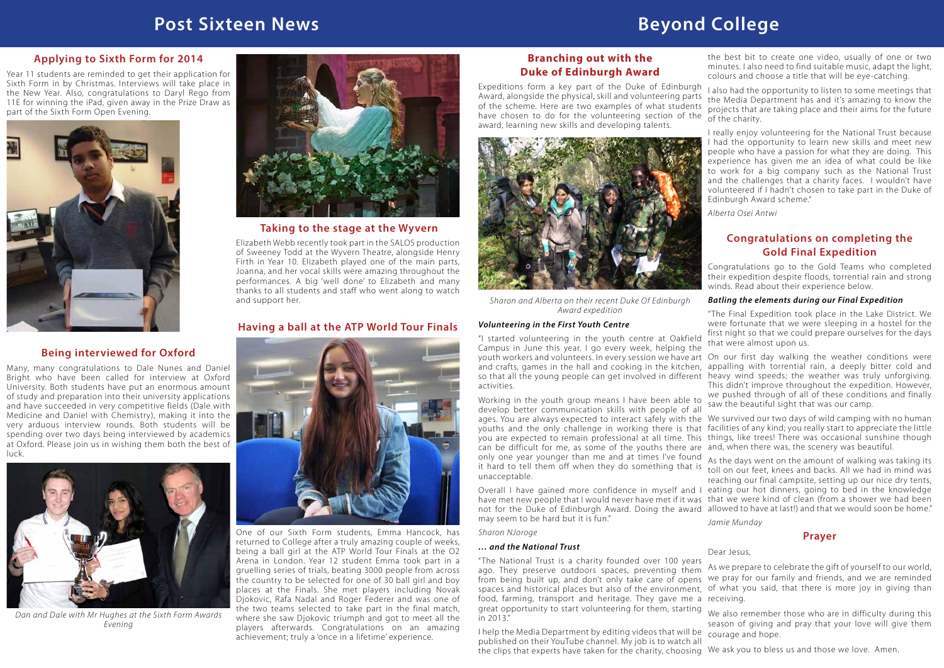### **Branching out with the Duke of Edinburgh Award**



*Sharon and Alberta on their recent Duke Of Edinburgh Award expedition* 

#### *Volunteering in the First Youth Centre*

"I started volunteering in the youth centre at Oakfield Campus in June this year. I go every week, helping the youth workers and volunteers. In every session we have art On our first day walking the weather conditions were and crafts, games in the hall and cooking in the kitchen, appalling with torrential rain, a deeply bitter cold and so that all the young people can get involved in different heavy wind speeds; the weather was truly unforgiving. activities.

Expeditions form a key part of the Duke of Edinburgh Award, alongside the physical, skill and volunteering parts of the scheme. Here are two examples of what students have chosen to do for the volunteering section of the award, learning new skills and developing talents. I also had the opportunity to listen to some meetings that the Media Department has and it's amazing to know the projects that are taking place and their aims for the future of the charity.

Overall I have gained more confidence in myself and I eating our hot dinners, going to bed in the knowledge have met new people that I would never have met if it was that we were kind of clean (from a shower we had been not for the Duke of Edinburgh Award. Doing the award allowed to have at last!) and that we would soon be home." may seem to be hard but it is fun."

#### *Sharon NJoroge*

#### *… and the National Trust*

the best bit to create one video, usually of one or two minutes. I also need to find suitable music, adapt the light, colours and choose a title that will be eye-catching.

Working in the youth group means I have been able to develop better communication skills with people of all ages. You are always expected to interact safely with the We survived our two days of wild camping with no human youths and the only challenge in working there is that facilities of any kind; you really start to appreciate the little you are expected to remain professional at all time. This things, like trees! There was occasional sunshine though can be difficult for me, as some of the youths there are and, when there was, the scenery was beautiful. only one year younger than me and at times I've found only one year younger than me and at times i ve found. As the days went on the amount of walking was taking its<br>It hard to tell them off when they do something that is trall on our feet, knees and backs. All we had in mind unacceptable. saw the beautiful sight that was our camp. toll on our feet, knees and backs. All we had in mind was

I really enjoy volunteering for the National Trust because I had the opportunity to learn new skills and meet new people who have a passion for what they are doing. This experience has given me an idea of what could be like to work for a big company such as the National Trust and the challenges that a charity faces. I wouldn't have volunteered if I hadn't chosen to take part in the Duke of Edinburgh Award scheme."

*Alberta Osei Antwi*

#### **Congratulations on completing the Gold Final Expedition**

Congratulations go to the Gold Teams who completed their expedition despite floods, torrential rain and strong winds. Read about their experience below.

#### *Batling the elements during our Final Expedition*

"The Final Expedition took place in the Lake District. We were fortunate that we were sleeping in a hostel for the first night so that we could prepare ourselves for the days that were almost upon us.

This didn't improve throughout the expedition. However, we pushed through of all of these conditions and finally

reaching our final campsite, setting up our nice dry tents,

"The National Trust is a charity founded over 100 years ago. They preserve outdoors spaces, preventing them from being built up, and don't only take care of opens we pray for our family and friends, and we are reminded spaces and historical places but also of the environment, of what you said, that there is more joy in giving than food, farming, transport and heritage. They gave me a receiving. great opportunity to start volunteering for them, starting in 2013." I help the Media Department by editing videos that will be As we prepare to celebrate the gift of yourself to our world, We also remember those who are in difficulty during this season of giving and pray that your love will give them courage and hope.

*Jamie Munday*

# **Post Sixteen News Beyond College**

#### **Applying to Sixth Form for 2014**

published on their YouTube channel. My job is to watch all the clips that experts have taken for the charity, choosing We ask you to bless us and those we love. Amen.

Year 11 students are reminded to get their application for Sixth Form in by Christmas. Interviews will take place in the New Year. Also, congratulations to Daryl Rego from 11E for winning the iPad, given away in the Prize Draw as part of the Sixth Form Open Evening.



### **Being interviewed for Oxford**

Many, many congratulations to Dale Nunes and Daniel Bright who have been called for interview at Oxford University. Both students have put an enormous amount of study and preparation into their university applications and have succeeded in very competitive fields (Dale with Medicine and Daniel with Chemistry), making it into the very arduous interview rounds. Both students will be spending over two days being interviewed by academics at Oxford. Please join us in wishing them both the best of luck.



*Dan and Dale with Mr Hughes at the Sixth Form Awards Evening*



**Taking to the stage at the Wyvern**

Elizabeth Webb recently took part in the SALOS production of Sweeney Todd at the Wyvern Theatre, alongside Henry Firth in Year 10. Elizabeth played one of the main parts, Joanna, and her vocal skills were amazing throughout the performances. A big 'well done' to Elizabeth and many thanks to all students and staff who went along to watch and support her.

### **Having a ball at the ATP World Tour Finals**



One of our Sixth Form students, Emma Hancock, has returned to College after a truly amazing couple of weeks, being a ball girl at the ATP World Tour Finals at the O2 Arena in London. Year 12 student Emma took part in a gruelling series of trials, beating 3000 people from across the country to be selected for one of 30 ball girl and boy places at the Finals. She met players including Novak Djokovic, Rafa Nadal and Roger Federer and was one of the two teams selected to take part in the final match, where she saw Djokovic triumph and got to meet all the players afterwards. Congratulations on an amazing achievement; truly a 'once in a lifetime' experience.

#### **Prayer**

Dear Jesus,